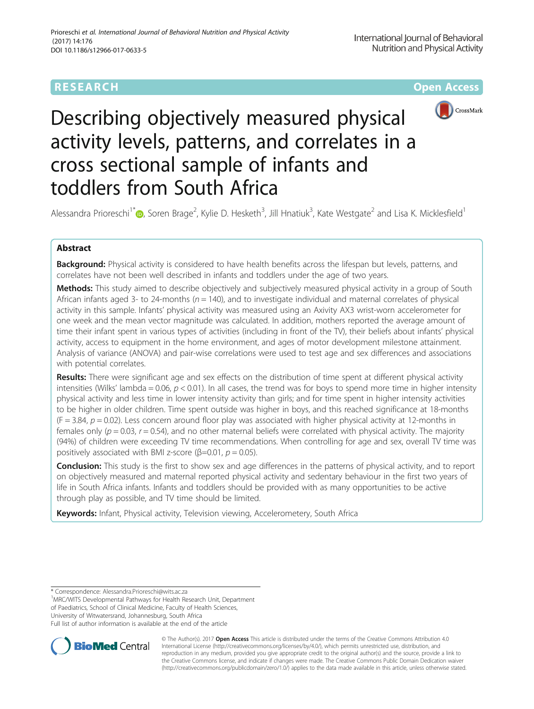## **RESEARCH CHE Open Access**



# Describing objectively measured physical activity levels, patterns, and correlates in a cross sectional sample of infants and toddlers from South Africa

Alessandra Prioreschi<sup>1[\\*](http://orcid.org/0000-0002-6913-0706)</sup> (D, Soren Brage<sup>2</sup>, Kylie D. Hesketh<sup>3</sup>, Jill Hnatiuk<sup>3</sup>, Kate Westgate<sup>2</sup> and Lisa K. Micklesfield<sup>1</sup>

## Abstract

Background: Physical activity is considered to have health benefits across the lifespan but levels, patterns, and correlates have not been well described in infants and toddlers under the age of two years.

Methods: This study aimed to describe objectively and subjectively measured physical activity in a group of South African infants aged 3- to 24-months ( $n = 140$ ), and to investigate individual and maternal correlates of physical activity in this sample. Infants' physical activity was measured using an Axivity AX3 wrist-worn accelerometer for one week and the mean vector magnitude was calculated. In addition, mothers reported the average amount of time their infant spent in various types of activities (including in front of the TV), their beliefs about infants' physical activity, access to equipment in the home environment, and ages of motor development milestone attainment. Analysis of variance (ANOVA) and pair-wise correlations were used to test age and sex differences and associations with potential correlates.

Results: There were significant age and sex effects on the distribution of time spent at different physical activity intensities (Wilks' lambda = 0.06,  $p < 0.01$ ). In all cases, the trend was for boys to spend more time in higher intensity physical activity and less time in lower intensity activity than girls; and for time spent in higher intensity activities to be higher in older children. Time spent outside was higher in boys, and this reached significance at 18-months  $(F = 3.84, p = 0.02)$ . Less concern around floor play was associated with higher physical activity at 12-months in females only ( $p = 0.03$ ,  $r = 0.54$ ), and no other maternal beliefs were correlated with physical activity. The majority (94%) of children were exceeding TV time recommendations. When controlling for age and sex, overall TV time was positively associated with BMI z-score ( $\beta$ =0.01,  $p$  = 0.05).

**Conclusion:** This study is the first to show sex and age differences in the patterns of physical activity, and to report on objectively measured and maternal reported physical activity and sedentary behaviour in the first two years of life in South Africa infants. Infants and toddlers should be provided with as many opportunities to be active through play as possible, and TV time should be limited.

Keywords: Infant, Physical activity, Television viewing, Accelerometery, South Africa

\* Correspondence: [Alessandra.Prioreschi@wits.ac.za](mailto:Alessandra.Prioreschi@wits.ac.za) <sup>1</sup>

MRC/WITS Developmental Pathways for Health Research Unit, Department of Paediatrics, School of Clinical Medicine, Faculty of Health Sciences, University of Witwatersrand, Johannesburg, South Africa

Full list of author information is available at the end of the article



© The Author(s). 2017 **Open Access** This article is distributed under the terms of the Creative Commons Attribution 4.0 International License [\(http://creativecommons.org/licenses/by/4.0/](http://creativecommons.org/licenses/by/4.0/)), which permits unrestricted use, distribution, and reproduction in any medium, provided you give appropriate credit to the original author(s) and the source, provide a link to the Creative Commons license, and indicate if changes were made. The Creative Commons Public Domain Dedication waiver [\(http://creativecommons.org/publicdomain/zero/1.0/](http://creativecommons.org/publicdomain/zero/1.0/)) applies to the data made available in this article, unless otherwise stated.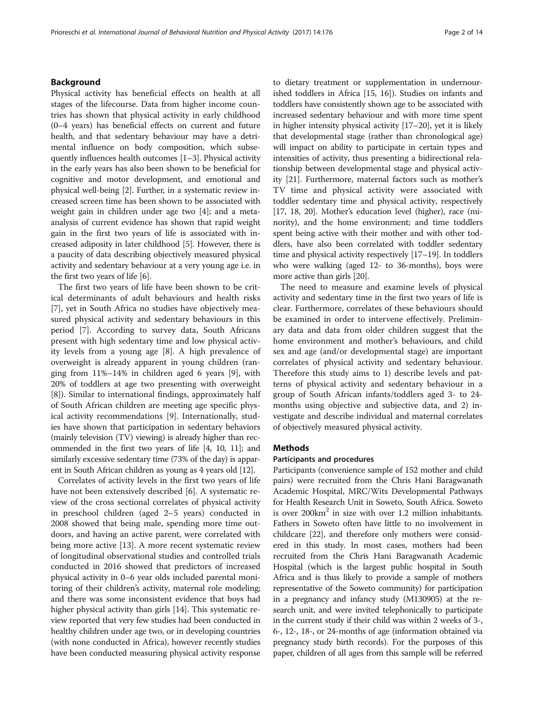## Background

Physical activity has beneficial effects on health at all stages of the lifecourse. Data from higher income countries has shown that physical activity in early childhood (0–4 years) has beneficial effects on current and future health, and that sedentary behaviour may have a detrimental influence on body composition, which subsequently influences health outcomes [[1](#page-12-0)–[3](#page-12-0)]. Physical activity in the early years has also been shown to be beneficial for cognitive and motor development, and emotional and physical well-being [\[2](#page-12-0)]. Further, in a systematic review increased screen time has been shown to be associated with weight gain in children under age two [\[4](#page-12-0)]; and a metaanalysis of current evidence has shown that rapid weight gain in the first two years of life is associated with increased adiposity in later childhood [[5\]](#page-12-0). However, there is a paucity of data describing objectively measured physical activity and sedentary behaviour at a very young age i.e. in the first two years of life [[6\]](#page-12-0).

The first two years of life have been shown to be critical determinants of adult behaviours and health risks [[7\]](#page-12-0), yet in South Africa no studies have objectively measured physical activity and sedentary behaviours in this period [[7\]](#page-12-0). According to survey data, South Africans present with high sedentary time and low physical activity levels from a young age [\[8](#page-12-0)]. A high prevalence of overweight is already apparent in young children (ranging from 11%–14% in children aged 6 years [[9\]](#page-12-0), with 20% of toddlers at age two presenting with overweight [[8\]](#page-12-0)). Similar to international findings, approximately half of South African children are meeting age specific physical activity recommendations [[9\]](#page-12-0). Internationally, studies have shown that participation in sedentary behaviors (mainly television (TV) viewing) is already higher than recommended in the first two years of life [[4](#page-12-0), [10](#page-12-0), [11](#page-12-0)]; and similarly excessive sedentary time (73% of the day) is apparent in South African children as young as 4 years old [\[12\]](#page-12-0).

Correlates of activity levels in the first two years of life have not been extensively described [\[6\]](#page-12-0). A systematic review of the cross sectional correlates of physical activity in preschool children (aged 2–5 years) conducted in 2008 showed that being male, spending more time outdoors, and having an active parent, were correlated with being more active [[13](#page-12-0)]. A more recent systematic review of longitudinal observational studies and controlled trials conducted in 2016 showed that predictors of increased physical activity in 0–6 year olds included parental monitoring of their children's activity, maternal role modeling; and there was some inconsistent evidence that boys had higher physical activity than girls [[14\]](#page-12-0). This systematic review reported that very few studies had been conducted in healthy children under age two, or in developing countries (with none conducted in Africa), however recently studies have been conducted measuring physical activity response to dietary treatment or supplementation in undernourished toddlers in Africa [[15](#page-12-0), [16\]](#page-12-0)). Studies on infants and toddlers have consistently shown age to be associated with increased sedentary behaviour and with more time spent in higher intensity physical activity [\[17](#page-12-0)–[20](#page-12-0)], yet it is likely that developmental stage (rather than chronological age) will impact on ability to participate in certain types and intensities of activity, thus presenting a bidirectional relationship between developmental stage and physical activity [[21\]](#page-12-0). Furthermore, maternal factors such as mother's TV time and physical activity were associated with toddler sedentary time and physical activity, respectively [[17](#page-12-0), [18](#page-12-0), [20](#page-12-0)]. Mother's education level (higher), race (minority), and the home environment; and time toddlers spent being active with their mother and with other toddlers, have also been correlated with toddler sedentary time and physical activity respectively [[17](#page-12-0)–[19\]](#page-12-0). In toddlers who were walking (aged 12- to 36-months), boys were more active than girls [\[20\]](#page-12-0).

The need to measure and examine levels of physical activity and sedentary time in the first two years of life is clear. Furthermore, correlates of these behaviours should be examined in order to intervene effectively. Preliminary data and data from older children suggest that the home environment and mother's behaviours, and child sex and age (and/or developmental stage) are important correlates of physical activity and sedentary behaviour. Therefore this study aims to 1) describe levels and patterns of physical activity and sedentary behaviour in a group of South African infants/toddlers aged 3- to 24 months using objective and subjective data, and 2) investigate and describe individual and maternal correlates of objectively measured physical activity.

## Methods

## Participants and procedures

Participants (convenience sample of 152 mother and child pairs) were recruited from the Chris Hani Baragwanath Academic Hospital, MRC/Wits Developmental Pathways for Health Research Unit in Soweto, South Africa. Soweto is over  $200 \text{km}^2$  in size with over 1.2 million inhabitants. Fathers in Soweto often have little to no involvement in childcare [\[22\]](#page-12-0), and therefore only mothers were considered in this study. In most cases, mothers had been recruited from the Chris Hani Baragwanath Academic Hospital (which is the largest public hospital in South Africa and is thus likely to provide a sample of mothers representative of the Soweto community) for participation in a pregnancy and infancy study (M130905) at the research unit, and were invited telephonically to participate in the current study if their child was within 2 weeks of 3-, 6-, 12-, 18-, or 24-months of age (information obtained via pregnancy study birth records). For the purposes of this paper, children of all ages from this sample will be referred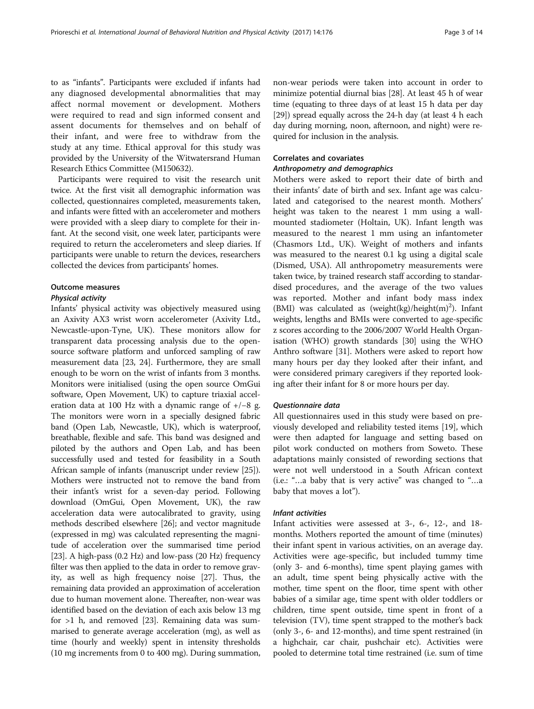to as "infants". Participants were excluded if infants had any diagnosed developmental abnormalities that may affect normal movement or development. Mothers were required to read and sign informed consent and assent documents for themselves and on behalf of their infant, and were free to withdraw from the study at any time. Ethical approval for this study was provided by the University of the Witwatersrand Human Research Ethics Committee (M150632).

Participants were required to visit the research unit twice. At the first visit all demographic information was collected, questionnaires completed, measurements taken, and infants were fitted with an accelerometer and mothers were provided with a sleep diary to complete for their infant. At the second visit, one week later, participants were required to return the accelerometers and sleep diaries. If participants were unable to return the devices, researchers collected the devices from participants' homes.

## Outcome measures

## Physical activity

Infants' physical activity was objectively measured using an Axivity AX3 wrist worn accelerometer (Axivity Ltd., Newcastle-upon-Tyne, UK). These monitors allow for transparent data processing analysis due to the opensource software platform and unforced sampling of raw measurement data [[23](#page-12-0), [24](#page-12-0)]. Furthermore, they are small enough to be worn on the wrist of infants from 3 months. Monitors were initialised (using the open source OmGui software, Open Movement, UK) to capture triaxial acceleration data at 100 Hz with a dynamic range of +/−8 g. The monitors were worn in a specially designed fabric band (Open Lab, Newcastle, UK), which is waterproof, breathable, flexible and safe. This band was designed and piloted by the authors and Open Lab, and has been successfully used and tested for feasibility in a South African sample of infants (manuscript under review [[25](#page-12-0)]). Mothers were instructed not to remove the band from their infant's wrist for a seven-day period. Following download (OmGui, Open Movement, UK), the raw acceleration data were autocalibrated to gravity, using methods described elsewhere [\[26](#page-12-0)]; and vector magnitude (expressed in mg) was calculated representing the magnitude of acceleration over the summarised time period [[23](#page-12-0)]. A high-pass (0.2 Hz) and low-pass (20 Hz) frequency filter was then applied to the data in order to remove gravity, as well as high frequency noise [\[27\]](#page-12-0). Thus, the remaining data provided an approximation of acceleration due to human movement alone. Thereafter, non-wear was identified based on the deviation of each axis below 13 mg for >1 h, and removed [[23](#page-12-0)]. Remaining data was summarised to generate average acceleration (mg), as well as time (hourly and weekly) spent in intensity thresholds (10 mg increments from 0 to 400 mg). During summation, non-wear periods were taken into account in order to minimize potential diurnal bias [\[28](#page-12-0)]. At least 45 h of wear time (equating to three days of at least 15 h data per day [[29](#page-12-0)]) spread equally across the 24-h day (at least 4 h each day during morning, noon, afternoon, and night) were required for inclusion in the analysis.

## Correlates and covariates

## Anthropometry and demographics

Mothers were asked to report their date of birth and their infants' date of birth and sex. Infant age was calculated and categorised to the nearest month. Mothers' height was taken to the nearest 1 mm using a wallmounted stadiometer (Holtain, UK). Infant length was measured to the nearest 1 mm using an infantometer (Chasmors Ltd., UK). Weight of mothers and infants was measured to the nearest 0.1 kg using a digital scale (Dismed, USA). All anthropometry measurements were taken twice, by trained research staff according to standardised procedures, and the average of the two values was reported. Mother and infant body mass index (BMI) was calculated as (weight(kg)/height(m)<sup>2</sup>). Infant weights, lengths and BMIs were converted to age-specific z scores according to the 2006/2007 World Health Organisation (WHO) growth standards [[30](#page-12-0)] using the WHO Anthro software [[31](#page-12-0)]. Mothers were asked to report how many hours per day they looked after their infant, and were considered primary caregivers if they reported looking after their infant for 8 or more hours per day.

## Questionnaire data

All questionnaires used in this study were based on previously developed and reliability tested items [[19\]](#page-12-0), which were then adapted for language and setting based on pilot work conducted on mothers from Soweto. These adaptations mainly consisted of rewording sections that were not well understood in a South African context (i.e.: "…a baby that is very active" was changed to "…a baby that moves a lot").

## Infant activities

Infant activities were assessed at 3-, 6-, 12-, and 18 months. Mothers reported the amount of time (minutes) their infant spent in various activities, on an average day. Activities were age-specific, but included tummy time (only 3- and 6-months), time spent playing games with an adult, time spent being physically active with the mother, time spent on the floor, time spent with other babies of a similar age, time spent with older toddlers or children, time spent outside, time spent in front of a television (TV), time spent strapped to the mother's back (only 3-, 6- and 12-months), and time spent restrained (in a highchair, car chair, pushchair etc). Activities were pooled to determine total time restrained (i.e. sum of time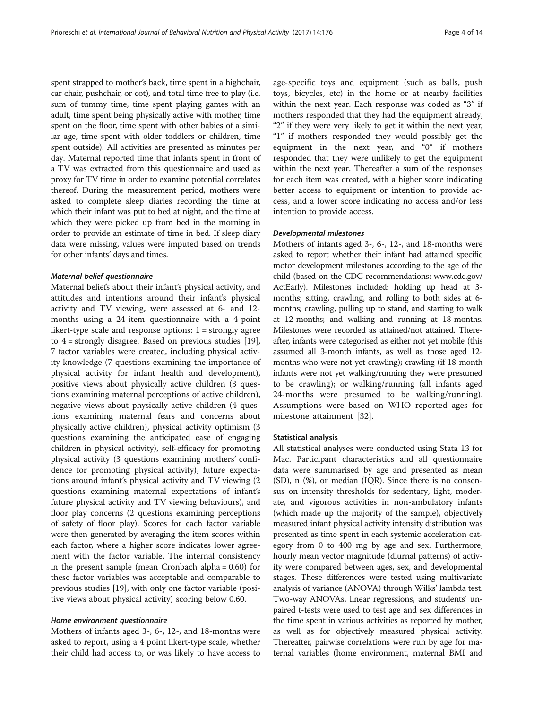spent strapped to mother's back, time spent in a highchair, car chair, pushchair, or cot), and total time free to play (i.e. sum of tummy time, time spent playing games with an adult, time spent being physically active with mother, time spent on the floor, time spent with other babies of a similar age, time spent with older toddlers or children, time spent outside). All activities are presented as minutes per day. Maternal reported time that infants spent in front of a TV was extracted from this questionnaire and used as proxy for TV time in order to examine potential correlates thereof. During the measurement period, mothers were asked to complete sleep diaries recording the time at which their infant was put to bed at night, and the time at which they were picked up from bed in the morning in order to provide an estimate of time in bed. If sleep diary data were missing, values were imputed based on trends for other infants' days and times.

## Maternal belief questionnaire

Maternal beliefs about their infant's physical activity, and attitudes and intentions around their infant's physical activity and TV viewing, were assessed at 6- and 12 months using a 24-item questionnaire with a 4-point likert-type scale and response options: 1 = strongly agree to 4 = strongly disagree. Based on previous studies [\[19](#page-12-0)], 7 factor variables were created, including physical activity knowledge (7 questions examining the importance of physical activity for infant health and development), positive views about physically active children (3 questions examining maternal perceptions of active children), negative views about physically active children (4 questions examining maternal fears and concerns about physically active children), physical activity optimism (3 questions examining the anticipated ease of engaging children in physical activity), self-efficacy for promoting physical activity (3 questions examining mothers' confidence for promoting physical activity), future expectations around infant's physical activity and TV viewing (2 questions examining maternal expectations of infant's future physical activity and TV viewing behaviours), and floor play concerns (2 questions examining perceptions of safety of floor play). Scores for each factor variable were then generated by averaging the item scores within each factor, where a higher score indicates lower agreement with the factor variable. The internal consistency in the present sample (mean Cronbach alpha = 0.60) for these factor variables was acceptable and comparable to previous studies [[19](#page-12-0)], with only one factor variable (positive views about physical activity) scoring below 0.60.

## Home environment questionnaire

Mothers of infants aged 3-, 6-, 12-, and 18-months were asked to report, using a 4 point likert-type scale, whether their child had access to, or was likely to have access to

age-specific toys and equipment (such as balls, push toys, bicycles, etc) in the home or at nearby facilities within the next year. Each response was coded as "3" if mothers responded that they had the equipment already, "2" if they were very likely to get it within the next year, "1" if mothers responded they would possibly get the equipment in the next year, and "0" if mothers responded that they were unlikely to get the equipment within the next year. Thereafter a sum of the responses for each item was created, with a higher score indicating better access to equipment or intention to provide access, and a lower score indicating no access and/or less intention to provide access.

## Developmental milestones

Mothers of infants aged 3-, 6-, 12-, and 18-months were asked to report whether their infant had attained specific motor development milestones according to the age of the child (based on the CDC recommendations: [www.cdc.gov/](http://www.cdc.gov/ActEarly) [ActEarly](http://www.cdc.gov/ActEarly)). Milestones included: holding up head at 3 months; sitting, crawling, and rolling to both sides at 6 months; crawling, pulling up to stand, and starting to walk at 12-months; and walking and running at 18-months. Milestones were recorded as attained/not attained. Thereafter, infants were categorised as either not yet mobile (this assumed all 3-month infants, as well as those aged 12 months who were not yet crawling); crawling (if 18-month infants were not yet walking/running they were presumed to be crawling); or walking/running (all infants aged 24-months were presumed to be walking/running). Assumptions were based on WHO reported ages for milestone attainment [\[32](#page-12-0)].

## Statistical analysis

All statistical analyses were conducted using Stata 13 for Mac. Participant characteristics and all questionnaire data were summarised by age and presented as mean (SD), n (%), or median (IQR). Since there is no consensus on intensity thresholds for sedentary, light, moderate, and vigorous activities in non-ambulatory infants (which made up the majority of the sample), objectively measured infant physical activity intensity distribution was presented as time spent in each systemic acceleration category from 0 to 400 mg by age and sex. Furthermore, hourly mean vector magnitude (diurnal patterns) of activity were compared between ages, sex, and developmental stages. These differences were tested using multivariate analysis of variance (ANOVA) through Wilks' lambda test. Two-way ANOVAs, linear regressions, and students' unpaired t-tests were used to test age and sex differences in the time spent in various activities as reported by mother, as well as for objectively measured physical activity. Thereafter, pairwise correlations were run by age for maternal variables (home environment, maternal BMI and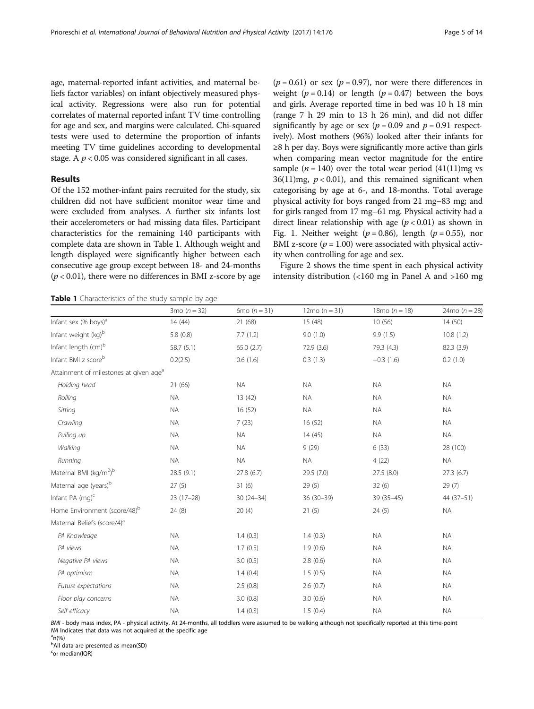age, maternal-reported infant activities, and maternal beliefs factor variables) on infant objectively measured physical activity. Regressions were also run for potential correlates of maternal reported infant TV time controlling for age and sex, and margins were calculated. Chi-squared tests were used to determine the proportion of infants meeting TV time guidelines according to developmental stage. A  $p < 0.05$  was considered significant in all cases.

## Results

Of the 152 mother-infant pairs recruited for the study, six children did not have sufficient monitor wear time and were excluded from analyses. A further six infants lost their accelerometers or had missing data files. Participant characteristics for the remaining 140 participants with complete data are shown in Table 1. Although weight and length displayed were significantly higher between each consecutive age group except between 18- and 24-months  $(p < 0.01)$ , there were no differences in BMI z-score by age

 $(p = 0.61)$  or sex  $(p = 0.97)$ , nor were there differences in weight ( $p = 0.14$ ) or length ( $p = 0.47$ ) between the boys and girls. Average reported time in bed was 10 h 18 min (range 7 h 29 min to 13 h 26 min), and did not differ significantly by age or sex ( $p = 0.09$  and  $p = 0.91$  respectively). Most mothers (96%) looked after their infants for ≥8 h per day. Boys were significantly more active than girls when comparing mean vector magnitude for the entire sample ( $n = 140$ ) over the total wear period (41(11)mg vs 36(11)mg,  $p < 0.01$ ), and this remained significant when categorising by age at 6-, and 18-months. Total average physical activity for boys ranged from 21 mg–83 mg; and for girls ranged from 17 mg–61 mg. Physical activity had a direct linear relationship with age  $(p < 0.01)$  as shown in Fig. [1](#page-5-0). Neither weight ( $p = 0.86$ ), length ( $p = 0.55$ ), nor BMI z-score ( $p = 1.00$ ) were associated with physical activity when controlling for age and sex.

Figure [2](#page-6-0) shows the time spent in each physical activity intensity distribution (<160 mg in Panel A and >160 mg

Table 1 Characteristics of the study sample by age

|                                                    | $3mo (n = 32)$ | 6mo ( $n = 31$ ) | 12mo ( $n = 31$ ) | 18mo ( $n = 18$ ) | 24mo ( $n = 28$ ) |
|----------------------------------------------------|----------------|------------------|-------------------|-------------------|-------------------|
| Infant sex (% boys) <sup>a</sup>                   | 14(44)         | 21 (68)          | 15 (48)           | 10(56)            | 14(50)            |
| Infant weight (kg) <sup>b</sup>                    | 5.8(0.8)       | 7.7(1.2)         | 9.0(1.0)          | 9.9(1.5)          | 10.8(1.2)         |
| Infant length (cm) <sup>b</sup>                    | 58.7 (5.1)     | 65.0(2.7)        | 72.9 (3.6)        | 79.3 (4.3)        | 82.3 (3.9)        |
| Infant BMI z scoreb                                | 0.2(2.5)       | 0.6(1.6)         | 0.3(1.3)          | $-0.3(1.6)$       | 0.2(1.0)          |
| Attainment of milestones at given age <sup>a</sup> |                |                  |                   |                   |                   |
| Holding head                                       | 21 (66)        | <b>NA</b>        | <b>NA</b>         | <b>NA</b>         | <b>NA</b>         |
| Rolling                                            | <b>NA</b>      | 13(42)           | <b>NA</b>         | <b>NA</b>         | <b>NA</b>         |
| Sitting                                            | <b>NA</b>      | 16(52)           | <b>NA</b>         | <b>NA</b>         | <b>NA</b>         |
| Crawling                                           | <b>NA</b>      | 7(23)            | 16(52)            | <b>NA</b>         | <b>NA</b>         |
| Pulling up                                         | <b>NA</b>      | <b>NA</b>        | 14(45)            | <b>NA</b>         | <b>NA</b>         |
| Walking                                            | <b>NA</b>      | <b>NA</b>        | 9(29)             | 6(33)             | 28 (100)          |
| Running                                            | <b>NA</b>      | <b>NA</b>        | <b>NA</b>         | 4(22)             | <b>NA</b>         |
| Maternal BMI (kg/m <sup>2)b</sup>                  | 28.5 (9.1)     | 27.8 (6.7)       | 29.5 (7.0)        | 27.5(8.0)         | 27.3(6.7)         |
| Maternal age (years) <sup>b</sup>                  | 27(5)          | 31(6)            | 29(5)             | 32(6)             | 29(7)             |
| Infant PA (mg) <sup>c</sup>                        | $23(17-28)$    | $30(24 - 34)$    | 36 (30-39)        | $39(35-45)$       | 44 (37-51)        |
| Home Environment (score/48) <sup>b</sup>           | 24(8)          | 20(4)            | 21(5)             | 24(5)             | <b>NA</b>         |
| Maternal Beliefs (score/4) <sup>a</sup>            |                |                  |                   |                   |                   |
| PA Knowledge                                       | <b>NA</b>      | 1.4(0.3)         | 1.4(0.3)          | <b>NA</b>         | <b>NA</b>         |
| PA views                                           | <b>NA</b>      | 1.7(0.5)         | 1.9(0.6)          | <b>NA</b>         | <b>NA</b>         |
| Negative PA views                                  | <b>NA</b>      | 3.0(0.5)         | 2.8(0.6)          | <b>NA</b>         | <b>NA</b>         |
| PA optimism                                        | <b>NA</b>      | 1.4(0.4)         | 1.5(0.5)          | <b>NA</b>         | <b>NA</b>         |
| Future expectations                                | <b>NA</b>      | 2.5(0.8)         | 2.6(0.7)          | <b>NA</b>         | <b>NA</b>         |
| Floor play concerns                                | <b>NA</b>      | 3.0(0.8)         | 3.0(0.6)          | <b>NA</b>         | <b>NA</b>         |
| Self efficacy                                      | <b>NA</b>      | 1.4(0.3)         | 1.5(0.4)          | <b>NA</b>         | <b>NA</b>         |

BMI - body mass index, PA - physical activity. At 24-months, all toddlers were assumed to be walking although not specifically reported at this time-point NA Indicates that data was not acquired at the specific age  $a_n(\%)$ 

<sup>b</sup>All data are presented as mean(SD)

<sup>c</sup>or median(IQR)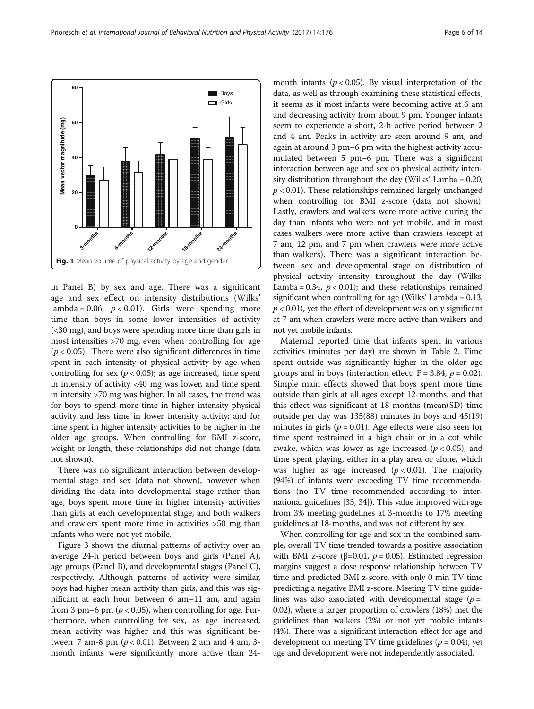<span id="page-5-0"></span>

in Panel B) by sex and age. There was a significant age and sex effect on intensity distributions (Wilks' lambda = 0.06,  $p < 0.01$ ). Girls were spending more time than boys in some lower intensities of activity (<30 mg), and boys were spending more time than girls in most intensities >70 mg, even when controlling for age  $(p < 0.05)$ . There were also significant differences in time spent in each intensity of physical activity by age when controlling for sex ( $p < 0.05$ ); as age increased, time spent in intensity of activity <40 mg was lower, and time spent in intensity >70 mg was higher. In all cases, the trend was for boys to spend more time in higher intensity physical activity and less time in lower intensity activity; and for time spent in higher intensity activities to be higher in the older age groups. When controlling for BMI z-score, weight or length, these relationships did not change (data not shown).

There was no significant interaction between developmental stage and sex (data not shown), however when dividing the data into developmental stage rather than age, boys spent more time in higher intensity activities than girls at each developmental stage, and both walkers and crawlers spent more time in activities >50 mg than infants who were not yet mobile.

Figure [3](#page-7-0) shows the diurnal patterns of activity over an average 24-h period between boys and girls (Panel A), age groups (Panel B), and developmental stages (Panel C), respectively. Although patterns of activity were similar, boys had higher mean activity than girls, and this was significant at each hour between 6 am–11 am, and again from 3 pm–6 pm ( $p < 0.05$ ), when controlling for age. Furthermore, when controlling for sex, as age increased, mean activity was higher and this was significant between 7 am-8 pm  $(p < 0.01)$ . Between 2 am and 4 am, 3month infants were significantly more active than 24month infants ( $p < 0.05$ ). By visual interpretation of the data, as well as through examining these statistical effects, it seems as if most infants were becoming active at 6 am and decreasing activity from about 9 pm. Younger infants seem to experience a short, 2-h active period between 2 and 4 am. Peaks in activity are seen around 9 am, and again at around 3 pm–6 pm with the highest activity accumulated between 5 pm–6 pm. There was a significant interaction between age and sex on physical activity intensity distribution throughout the day (Wilks' Lamba = 0.20,  $p < 0.01$ ). These relationships remained largely unchanged when controlling for BMI z-score (data not shown). Lastly, crawlers and walkers were more active during the day than infants who were not yet mobile, and in most cases walkers were more active than crawlers (except at 7 am, 12 pm, and 7 pm when crawlers were more active than walkers). There was a significant interaction between sex and developmental stage on distribution of physical activity intensity throughout the day (Wilks' Lamba =  $0.34$ ,  $p < 0.01$ ); and these relationships remained significant when controlling for age (Wilks' Lambda = 0.13,  $p < 0.01$ ), yet the effect of development was only significant at 7 am when crawlers were more active than walkers and not yet mobile infants.

Maternal reported time that infants spent in various activities (minutes per day) are shown in Table [2.](#page-8-0) Time spent outside was significantly higher in the older age groups and in boys (interaction effect:  $F = 3.84$ ,  $p = 0.02$ ). Simple main effects showed that boys spent more time outside than girls at all ages except 12-months, and that this effect was significant at 18-months (mean(SD) time outside per day was 135(88) minutes in boys and 45(19) minutes in girls ( $p = 0.01$ ). Age effects were also seen for time spent restrained in a high chair or in a cot while awake, which was lower as age increased ( $p < 0.05$ ); and time spent playing, either in a play area or alone, which was higher as age increased  $(p < 0.01)$ . The majority (94%) of infants were exceeding TV time recommendations (no TV time recommended according to international guidelines [\[33](#page-12-0), [34](#page-13-0)]). This value improved with age from 3% meeting guidelines at 3-months to 17% meeting guidelines at 18-months, and was not different by sex.

When controlling for age and sex in the combined sample, overall TV time trended towards a positive association with BMI z-score (β=0.01,  $p = 0.05$ ). Estimated regression margins suggest a dose response relationship between TV time and predicted BMI z-score, with only 0 min TV time predicting a negative BMI z-score. Meeting TV time guidelines was also associated with developmental stage ( $p =$ 0.02), where a larger proportion of crawlers (18%) met the guidelines than walkers (2%) or not yet mobile infants (4%). There was a significant interaction effect for age and development on meeting TV time guidelines ( $p = 0.04$ ), yet age and development were not independently associated.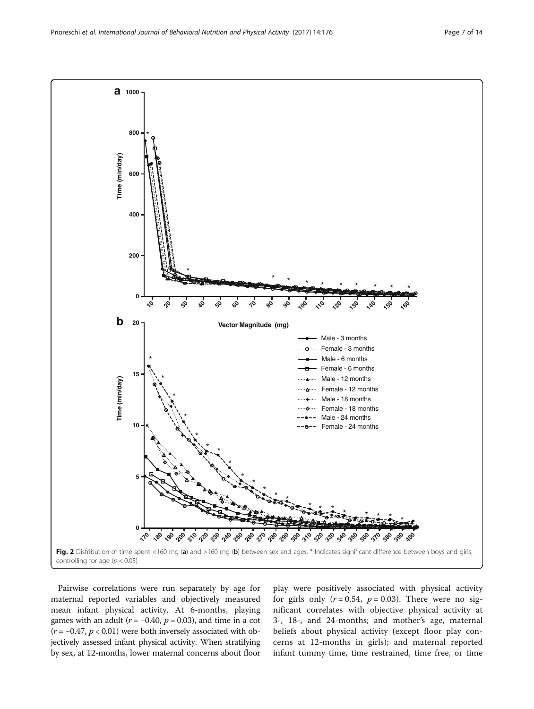<span id="page-6-0"></span>

Pairwise correlations were run separately by age for maternal reported variables and objectively measured mean infant physical activity. At 6-months, playing games with an adult ( $r = -0.40$ ,  $p = 0.03$ ), and time in a cot  $(r = -0.47, p < 0.01)$  were both inversely associated with objectively assessed infant physical activity. When stratifying by sex, at 12-months, lower maternal concerns about floor

play were positively associated with physical activity for girls only  $(r = 0.54, p = 0.03)$ . There were no significant correlates with objective physical activity at 3-, 18-, and 24-months; and mother's age, maternal beliefs about physical activity (except floor play concerns at 12-months in girls); and maternal reported infant tummy time, time restrained, time free, or time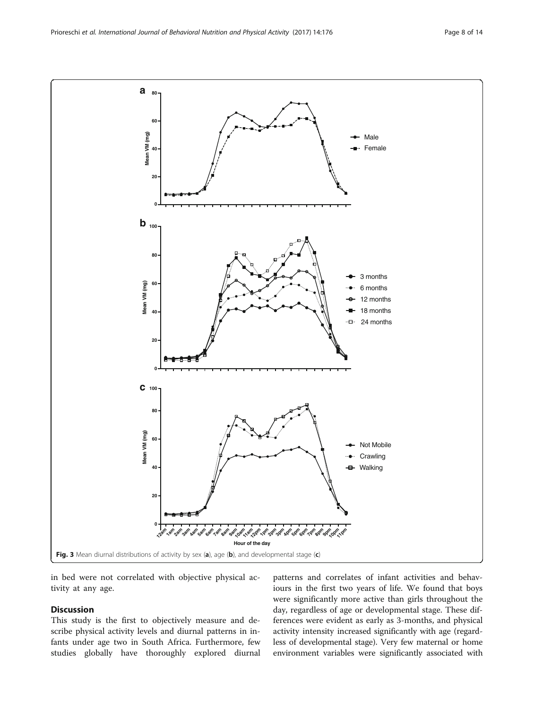in bed were not correlated with objective physical activity at any age.

## **Discussion**

This study is the first to objectively measure and describe physical activity levels and diurnal patterns in infants under age two in South Africa. Furthermore, few studies globally have thoroughly explored diurnal

patterns and correlates of infant activities and behaviours in the first two years of life. We found that boys were significantly more active than girls throughout the day, regardless of age or developmental stage. These differences were evident as early as 3-months, and physical activity intensity increased significantly with age (regardless of developmental stage). Very few maternal or home environment variables were significantly associated with

<span id="page-7-0"></span>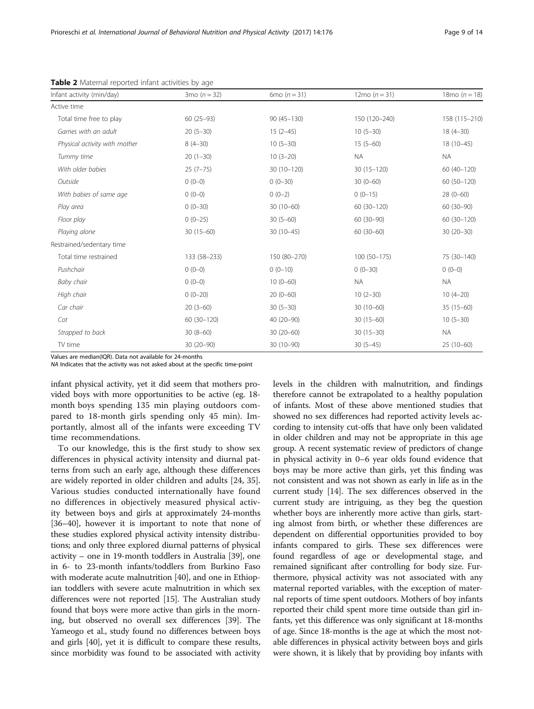| Infant activity (min/day)     | 3mo $(n = 32)$ | 6mo $(n = 31)$ | 12mo $(n = 31)$ | 18mo ( $n = 18$ ) |  |
|-------------------------------|----------------|----------------|-----------------|-------------------|--|
| Active time                   |                |                |                 |                   |  |
| Total time free to play       | 60 (25-93)     | $90(45 - 130)$ | 150 (120-240)   | 158 (115-210)     |  |
| Games with an adult           | $20(5-30)$     | $15(2-45)$     | $10(5 - 30)$    | $18(4-30)$        |  |
| Physical activity with mother | $8(4-30)$      | $10(5-30)$     | $15(5-60)$      | $18(10-45)$       |  |
| Tummy time                    | $20(1-30)$     | $10(3-20)$     | <b>NA</b>       | <b>NA</b>         |  |
| With older babies             | $25(7-75)$     | $30(10-120)$   | $30(15 - 120)$  | 60 (40-120)       |  |
| Outside                       | $0(0-0)$       | $0(0-30)$      | $30(0 - 60)$    | 60 (50-120)       |  |
| With babies of same age       | $0(0-0)$       | $0(0-2)$       | $0(0-15)$       | $28(0-60)$        |  |
| Play area                     | $0(0-30)$      | $30(10-60)$    | 60 (30-120)     | 60 (30-90)        |  |
| Floor play                    | $0(0-25)$      | $30(5 - 60)$   | $60(30-90)$     | 60 (30-120)       |  |
| Playing alone                 | $30(15-60)$    | $30(10-45)$    | $60(30-60)$     | $30(20-30)$       |  |
| Restrained/sedentary time     |                |                |                 |                   |  |
| Total time restrained         | 133 (58-233)   | 150 (80-270)   | $100(50-175)$   | 75 (30-140)       |  |
| Pushchair                     | $0(0-0)$       | $0(0-10)$      | $0(0-30)$       | $0(0-0)$          |  |
| Baby chair                    | $0(0-0)$       | $10(0-60)$     | <b>NA</b>       | <b>NA</b>         |  |
| High chair                    | $0(0-20)$      | $20(0-60)$     | $10(2-30)$      | $10(4-20)$        |  |
| Car chair                     | $20(3-60)$     | $30(5-30)$     | $30(10-60)$     | $35(15-60)$       |  |
| Cot                           | 60 (30-120)    | 40 (20-90)     | $30(15-60)$     | $10(5-30)$        |  |
| Strapped to back              | $30(8-60)$     | 30 (20-60)     | $30(15 - 30)$   | <b>NA</b>         |  |
| TV time                       | 30 (20-90)     | $30(10-90)$    | $30(5-45)$      | $25(10-60)$       |  |
|                               |                |                |                 |                   |  |

<span id="page-8-0"></span>Table 2 Maternal reported infant activities by age

Values are median(IQR). Data not available for 24-months

NA Indicates that the activity was not asked about at the specific time-point

infant physical activity, yet it did seem that mothers provided boys with more opportunities to be active (eg. 18 month boys spending 135 min playing outdoors compared to 18-month girls spending only 45 min). Importantly, almost all of the infants were exceeding TV time recommendations.

To our knowledge, this is the first study to show sex differences in physical activity intensity and diurnal patterns from such an early age, although these differences are widely reported in older children and adults [\[24](#page-12-0), [35](#page-13-0)]. Various studies conducted internationally have found no differences in objectively measured physical activity between boys and girls at approximately 24-months [[36](#page-13-0)–[40\]](#page-13-0), however it is important to note that none of these studies explored physical activity intensity distributions; and only three explored diurnal patterns of physical activity – one in 19-month toddlers in Australia [[39](#page-13-0)], one in 6- to 23-month infants/toddlers from Burkino Faso with moderate acute malnutrition [[40](#page-13-0)], and one in Ethiopian toddlers with severe acute malnutrition in which sex differences were not reported [\[15\]](#page-12-0). The Australian study found that boys were more active than girls in the morning, but observed no overall sex differences [\[39\]](#page-13-0). The Yameogo et al., study found no differences between boys and girls [\[40\]](#page-13-0), yet it is difficult to compare these results, since morbidity was found to be associated with activity levels in the children with malnutrition, and findings therefore cannot be extrapolated to a healthy population of infants. Most of these above mentioned studies that showed no sex differences had reported activity levels according to intensity cut-offs that have only been validated in older children and may not be appropriate in this age group. A recent systematic review of predictors of change in physical activity in 0–6 year olds found evidence that boys may be more active than girls, yet this finding was not consistent and was not shown as early in life as in the current study [\[14\]](#page-12-0). The sex differences observed in the current study are intriguing, as they beg the question whether boys are inherently more active than girls, starting almost from birth, or whether these differences are dependent on differential opportunities provided to boy infants compared to girls. These sex differences were found regardless of age or developmental stage, and remained significant after controlling for body size. Furthermore, physical activity was not associated with any maternal reported variables, with the exception of maternal reports of time spent outdoors. Mothers of boy infants reported their child spent more time outside than girl infants, yet this difference was only significant at 18-months of age. Since 18-months is the age at which the most notable differences in physical activity between boys and girls were shown, it is likely that by providing boy infants with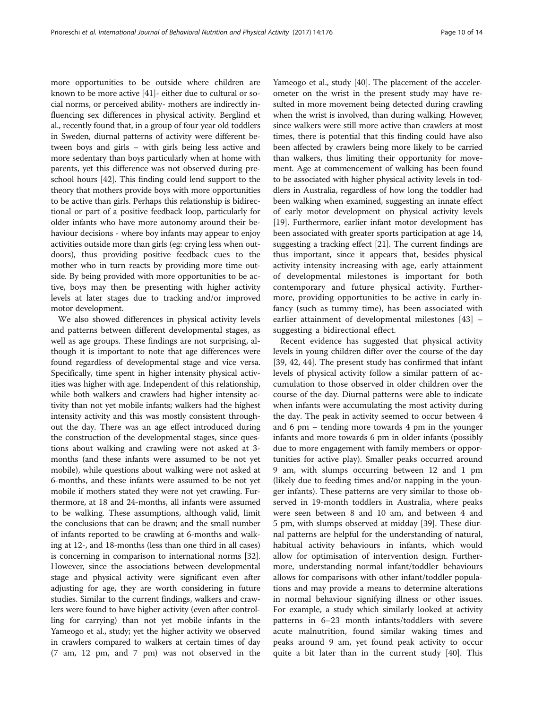more opportunities to be outside where children are known to be more active [\[41](#page-13-0)]- either due to cultural or social norms, or perceived ability- mothers are indirectly influencing sex differences in physical activity. Berglind et al., recently found that, in a group of four year old toddlers in Sweden, diurnal patterns of activity were different between boys and girls – with girls being less active and more sedentary than boys particularly when at home with parents, yet this difference was not observed during preschool hours [\[42\]](#page-13-0). This finding could lend support to the theory that mothers provide boys with more opportunities to be active than girls. Perhaps this relationship is bidirectional or part of a positive feedback loop, particularly for older infants who have more autonomy around their behaviour decisions - where boy infants may appear to enjoy activities outside more than girls (eg: crying less when outdoors), thus providing positive feedback cues to the mother who in turn reacts by providing more time outside. By being provided with more opportunities to be active, boys may then be presenting with higher activity levels at later stages due to tracking and/or improved motor development.

We also showed differences in physical activity levels and patterns between different developmental stages, as well as age groups. These findings are not surprising, although it is important to note that age differences were found regardless of developmental stage and vice versa. Specifically, time spent in higher intensity physical activities was higher with age. Independent of this relationship, while both walkers and crawlers had higher intensity activity than not yet mobile infants; walkers had the highest intensity activity and this was mostly consistent throughout the day. There was an age effect introduced during the construction of the developmental stages, since questions about walking and crawling were not asked at 3 months (and these infants were assumed to be not yet mobile), while questions about walking were not asked at 6-months, and these infants were assumed to be not yet mobile if mothers stated they were not yet crawling. Furthermore, at 18 and 24-months, all infants were assumed to be walking. These assumptions, although valid, limit the conclusions that can be drawn; and the small number of infants reported to be crawling at 6-months and walking at 12-, and 18-months (less than one third in all cases) is concerning in comparison to international norms [[32](#page-12-0)]. However, since the associations between developmental stage and physical activity were significant even after adjusting for age, they are worth considering in future studies. Similar to the current findings, walkers and crawlers were found to have higher activity (even after controlling for carrying) than not yet mobile infants in the Yameogo et al., study; yet the higher activity we observed in crawlers compared to walkers at certain times of day (7 am, 12 pm, and 7 pm) was not observed in the

Yameogo et al., study [\[40\]](#page-13-0). The placement of the accelerometer on the wrist in the present study may have resulted in more movement being detected during crawling when the wrist is involved, than during walking. However, since walkers were still more active than crawlers at most times, there is potential that this finding could have also been affected by crawlers being more likely to be carried than walkers, thus limiting their opportunity for movement. Age at commencement of walking has been found to be associated with higher physical activity levels in toddlers in Australia, regardless of how long the toddler had been walking when examined, suggesting an innate effect of early motor development on physical activity levels [[19](#page-12-0)]. Furthermore, earlier infant motor development has been associated with greater sports participation at age 14, suggesting a tracking effect [\[21\]](#page-12-0). The current findings are thus important, since it appears that, besides physical activity intensity increasing with age, early attainment of developmental milestones is important for both contemporary and future physical activity. Furthermore, providing opportunities to be active in early infancy (such as tummy time), has been associated with earlier attainment of developmental milestones [[43\]](#page-13-0) – suggesting a bidirectional effect.

Recent evidence has suggested that physical activity levels in young children differ over the course of the day [[39, 42, 44\]](#page-13-0). The present study has confirmed that infant levels of physical activity follow a similar pattern of accumulation to those observed in older children over the course of the day. Diurnal patterns were able to indicate when infants were accumulating the most activity during the day. The peak in activity seemed to occur between 4 and 6 pm – tending more towards 4 pm in the younger infants and more towards 6 pm in older infants (possibly due to more engagement with family members or opportunities for active play). Smaller peaks occurred around 9 am, with slumps occurring between 12 and 1 pm (likely due to feeding times and/or napping in the younger infants). These patterns are very similar to those observed in 19-month toddlers in Australia, where peaks were seen between 8 and 10 am, and between 4 and 5 pm, with slumps observed at midday [\[39](#page-13-0)]. These diurnal patterns are helpful for the understanding of natural, habitual activity behaviours in infants, which would allow for optimisation of intervention design. Furthermore, understanding normal infant/toddler behaviours allows for comparisons with other infant/toddler populations and may provide a means to determine alterations in normal behaviour signifying illness or other issues. For example, a study which similarly looked at activity patterns in 6–23 month infants/toddlers with severe acute malnutrition, found similar waking times and peaks around 9 am, yet found peak activity to occur quite a bit later than in the current study [\[40\]](#page-13-0). This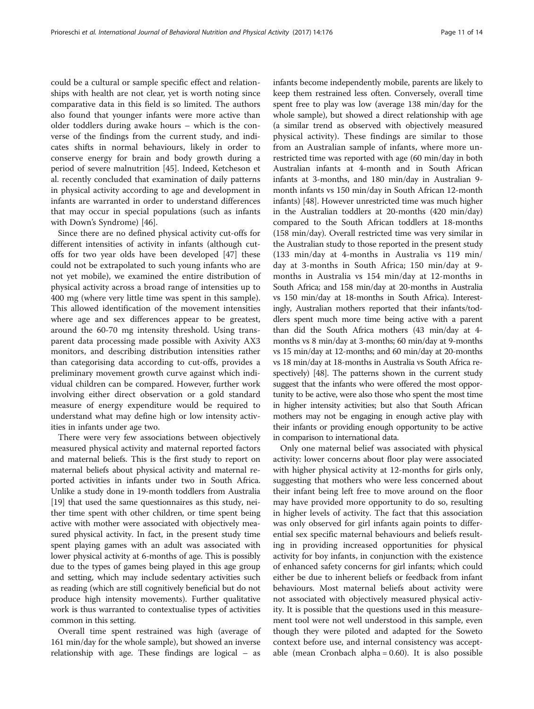could be a cultural or sample specific effect and relationships with health are not clear, yet is worth noting since comparative data in this field is so limited. The authors also found that younger infants were more active than older toddlers during awake hours – which is the converse of the findings from the current study, and indicates shifts in normal behaviours, likely in order to conserve energy for brain and body growth during a period of severe malnutrition [[45\]](#page-13-0). Indeed, Ketcheson et al. recently concluded that examination of daily patterns in physical activity according to age and development in infants are warranted in order to understand differences that may occur in special populations (such as infants with Down's Syndrome) [[46\]](#page-13-0).

Since there are no defined physical activity cut-offs for different intensities of activity in infants (although cutoffs for two year olds have been developed [[47\]](#page-13-0) these could not be extrapolated to such young infants who are not yet mobile), we examined the entire distribution of physical activity across a broad range of intensities up to 400 mg (where very little time was spent in this sample). This allowed identification of the movement intensities where age and sex differences appear to be greatest, around the 60-70 mg intensity threshold. Using transparent data processing made possible with Axivity AX3 monitors, and describing distribution intensities rather than categorising data according to cut-offs, provides a preliminary movement growth curve against which individual children can be compared. However, further work involving either direct observation or a gold standard measure of energy expenditure would be required to understand what may define high or low intensity activities in infants under age two.

There were very few associations between objectively measured physical activity and maternal reported factors and maternal beliefs. This is the first study to report on maternal beliefs about physical activity and maternal reported activities in infants under two in South Africa. Unlike a study done in 19-month toddlers from Australia [[19](#page-12-0)] that used the same questionnaires as this study, neither time spent with other children, or time spent being active with mother were associated with objectively measured physical activity. In fact, in the present study time spent playing games with an adult was associated with lower physical activity at 6-months of age. This is possibly due to the types of games being played in this age group and setting, which may include sedentary activities such as reading (which are still cognitively beneficial but do not produce high intensity movements). Further qualitative work is thus warranted to contextualise types of activities common in this setting.

Overall time spent restrained was high (average of 161 min/day for the whole sample), but showed an inverse relationship with age. These findings are logical – as

infants become independently mobile, parents are likely to keep them restrained less often. Conversely, overall time spent free to play was low (average 138 min/day for the whole sample), but showed a direct relationship with age (a similar trend as observed with objectively measured physical activity). These findings are similar to those from an Australian sample of infants, where more unrestricted time was reported with age (60 min/day in both Australian infants at 4-month and in South African infants at 3-months, and 180 min/day in Australian 9 month infants vs 150 min/day in South African 12-month infants) [[48\]](#page-13-0). However unrestricted time was much higher in the Australian toddlers at 20-months (420 min/day) compared to the South African toddlers at 18-months (158 min/day). Overall restricted time was very similar in the Australian study to those reported in the present study (133 min/day at 4-months in Australia vs 119 min/ day at 3-months in South Africa; 150 min/day at 9 months in Australia vs 154 min/day at 12-months in South Africa; and 158 min/day at 20-months in Australia vs 150 min/day at 18-months in South Africa). Interestingly, Australian mothers reported that their infants/toddlers spent much more time being active with a parent than did the South Africa mothers (43 min/day at 4 months vs 8 min/day at 3-months; 60 min/day at 9-months vs 15 min/day at 12-months; and 60 min/day at 20-months vs 18 min/day at 18-months in Australia vs South Africa respectively) [\[48\]](#page-13-0). The patterns shown in the current study suggest that the infants who were offered the most opportunity to be active, were also those who spent the most time in higher intensity activities; but also that South African mothers may not be engaging in enough active play with their infants or providing enough opportunity to be active in comparison to international data.

Only one maternal belief was associated with physical activity: lower concerns about floor play were associated with higher physical activity at 12-months for girls only, suggesting that mothers who were less concerned about their infant being left free to move around on the floor may have provided more opportunity to do so, resulting in higher levels of activity. The fact that this association was only observed for girl infants again points to differential sex specific maternal behaviours and beliefs resulting in providing increased opportunities for physical activity for boy infants, in conjunction with the existence of enhanced safety concerns for girl infants; which could either be due to inherent beliefs or feedback from infant behaviours. Most maternal beliefs about activity were not associated with objectively measured physical activity. It is possible that the questions used in this measurement tool were not well understood in this sample, even though they were piloted and adapted for the Soweto context before use, and internal consistency was acceptable (mean Cronbach alpha = 0.60). It is also possible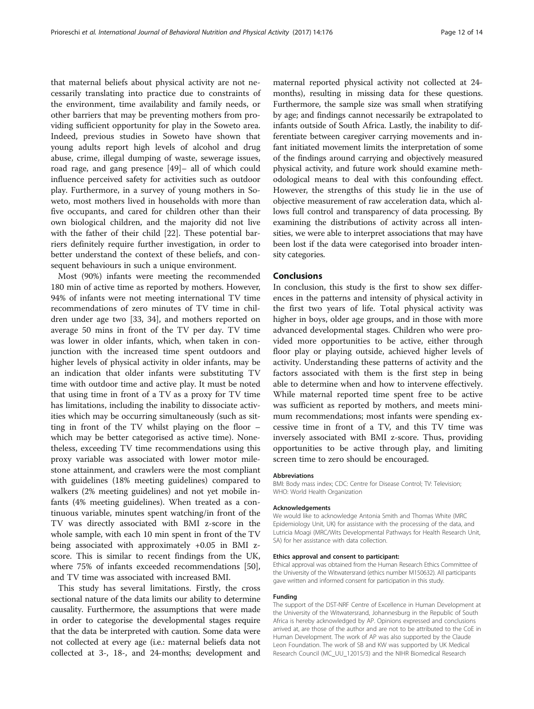that maternal beliefs about physical activity are not necessarily translating into practice due to constraints of the environment, time availability and family needs, or other barriers that may be preventing mothers from providing sufficient opportunity for play in the Soweto area. Indeed, previous studies in Soweto have shown that young adults report high levels of alcohol and drug abuse, crime, illegal dumping of waste, sewerage issues, road rage, and gang presence [[49](#page-13-0)]– all of which could influence perceived safety for activities such as outdoor play. Furthermore, in a survey of young mothers in Soweto, most mothers lived in households with more than five occupants, and cared for children other than their own biological children, and the majority did not live with the father of their child [\[22](#page-12-0)]. These potential barriers definitely require further investigation, in order to better understand the context of these beliefs, and consequent behaviours in such a unique environment.

Most (90%) infants were meeting the recommended 180 min of active time as reported by mothers. However, 94% of infants were not meeting international TV time recommendations of zero minutes of TV time in children under age two [\[33,](#page-12-0) [34](#page-13-0)], and mothers reported on average 50 mins in front of the TV per day. TV time was lower in older infants, which, when taken in conjunction with the increased time spent outdoors and higher levels of physical activity in older infants, may be an indication that older infants were substituting TV time with outdoor time and active play. It must be noted that using time in front of a TV as a proxy for TV time has limitations, including the inability to dissociate activities which may be occurring simultaneously (such as sitting in front of the TV whilst playing on the floor – which may be better categorised as active time). Nonetheless, exceeding TV time recommendations using this proxy variable was associated with lower motor milestone attainment, and crawlers were the most compliant with guidelines (18% meeting guidelines) compared to walkers (2% meeting guidelines) and not yet mobile infants (4% meeting guidelines). When treated as a continuous variable, minutes spent watching/in front of the TV was directly associated with BMI z-score in the whole sample, with each 10 min spent in front of the TV being associated with approximately +0.05 in BMI zscore. This is similar to recent findings from the UK, where 75% of infants exceeded recommendations [\[50](#page-13-0)], and TV time was associated with increased BMI.

This study has several limitations. Firstly, the cross sectional nature of the data limits our ability to determine causality. Furthermore, the assumptions that were made in order to categorise the developmental stages require that the data be interpreted with caution. Some data were not collected at every age (i.e.: maternal beliefs data not collected at 3-, 18-, and 24-months; development and

maternal reported physical activity not collected at 24 months), resulting in missing data for these questions. Furthermore, the sample size was small when stratifying by age; and findings cannot necessarily be extrapolated to infants outside of South Africa. Lastly, the inability to differentiate between caregiver carrying movements and infant initiated movement limits the interpretation of some of the findings around carrying and objectively measured physical activity, and future work should examine methodological means to deal with this confounding effect. However, the strengths of this study lie in the use of objective measurement of raw acceleration data, which allows full control and transparency of data processing. By examining the distributions of activity across all intensities, we were able to interpret associations that may have been lost if the data were categorised into broader intensity categories.

## **Conclusions**

In conclusion, this study is the first to show sex differences in the patterns and intensity of physical activity in the first two years of life. Total physical activity was higher in boys, older age groups, and in those with more advanced developmental stages. Children who were provided more opportunities to be active, either through floor play or playing outside, achieved higher levels of activity. Understanding these patterns of activity and the factors associated with them is the first step in being able to determine when and how to intervene effectively. While maternal reported time spent free to be active was sufficient as reported by mothers, and meets minimum recommendations; most infants were spending excessive time in front of a TV, and this TV time was inversely associated with BMI z-score. Thus, providing opportunities to be active through play, and limiting screen time to zero should be encouraged.

#### Abbreviations

BMI: Body mass index; CDC: Centre for Disease Control; TV: Television; WHO: World Health Organization

#### Acknowledgements

We would like to acknowledge Antonia Smith and Thomas White (MRC Epidemiology Unit, UK) for assistance with the processing of the data, and Lutricia Moagi (MRC/Wits Developmental Pathways for Health Research Unit, SA) for her assistance with data collection.

#### Ethics approval and consent to participant:

Ethical approval was obtained from the Human Research Ethics Committee of the University of the Witwatersrand (ethics number M150632). All participants gave written and informed consent for participation in this study.

#### Funding

The support of the DST-NRF Centre of Excellence in Human Development at the University of the Witwatersrand, Johannesburg in the Republic of South Africa is hereby acknowledged by AP. Opinions expressed and conclusions arrived at, are those of the author and are not to be attributed to the CoE in Human Development. The work of AP was also supported by the Claude Leon Foundation. The work of SB and KW was supported by UK Medical Research Council (MC\_UU\_12015/3) and the NIHR Biomedical Research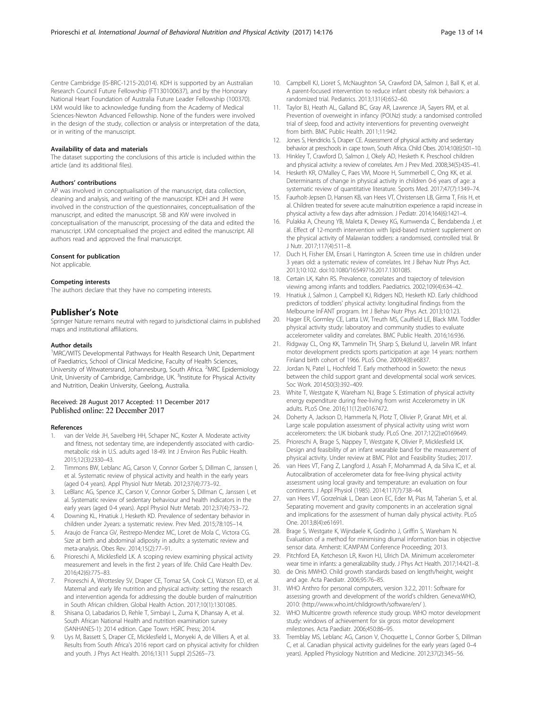#### <span id="page-12-0"></span>Availability of data and materials

The dataset supporting the conclusions of this article is included within the article (and its additional files).

## Authors' contributions

AP was involved in conceptualisation of the manuscript, data collection, cleaning and analysis, and writing of the manuscript. KDH and JH were involved in the construction of the questionnaires, conceptualisation of the manuscript, and edited the manuscript. SB and KW were involved in conceptualisation of the manuscript, processing of the data and edited the manuscript. LKM conceptualised the project and edited the manuscript. All authors read and approved the final manuscript.

#### Consent for publication

Not applicable.

## Competing interests

The authors declare that they have no competing interests.

### Publisher's Note

Springer Nature remains neutral with regard to jurisdictional claims in published maps and institutional affiliations.

#### Author details

<sup>1</sup>MRC/WITS Developmental Pathways for Health Research Unit, Department of Paediatrics, School of Clinical Medicine, Faculty of Health Sciences, University of Witwatersrand, Johannesburg, South Africa. <sup>2</sup>MRC Epidemiology Unit, University of Cambridge, Cambridge, UK. <sup>3</sup>Institute for Physical Activity and Nutrition, Deakin University, Geelong, Australia.

## Received: 28 August 2017 Accepted: 11 December 2017 Published online: 22 December 2017

#### References

- 1. van der Velde JH, Savelberg HH, Schaper NC, Koster A. Moderate activity and fitness, not sedentary time, are independently associated with cardiometabolic risk in U.S. adults aged 18-49. Int J Environ Res Public Health. 2015;12(3):2330–43.
- 2. Timmons BW, Leblanc AG, Carson V, Connor Gorber S, Dillman C, Janssen I, et al. Systematic review of physical activity and health in the early years (aged 0-4 years). Appl Physiol Nutr Metab. 2012;37(4):773–92.
- 3. LeBlanc AG, Spence JC, Carson V, Connor Gorber S, Dillman C, Janssen I, et al. Systematic review of sedentary behaviour and health indicators in the early years (aged 0-4 years). Appl Physiol Nutr Metab. 2012;37(4):753–72.
- 4. Downing KL, Hnatiuk J, Hesketh KD. Prevalence of sedentary behavior in children under 2years: a systematic review. Prev Med. 2015;78:105–14.
- 5. Araujo de Franca GV, Restrepo-Mendez MC, Loret de Mola C, Victora CG. Size at birth and abdominal adiposity in adults: a systematic review and meta-analysis. Obes Rev. 2014;15(2):77–91.
- Prioreschi A, Micklesfield LK. A scoping review examining physical activity measurement and levels in the first 2 years of life. Child Care Health Dev. 2016;42(6):775–83.
- Prioreschi A, Wrottesley SV, Draper CE, Tomaz SA, Cook CJ, Watson ED, et al. Maternal and early life nutrition and physical activity: setting the research and intervention agenda for addressing the double burden of malnutrition in South African children. Global Health Action. 2017;10(1):1301085.
- 8. Shisana O, Labadarios D, Rehle T, Simbayi L, Zuma K, Dhansay A, et al. South African National Health and nutrition examination survey (SANHANES-1): 2014 edition. Cape Town: HSRC Press; 2014.
- Uys M, Bassett S, Draper CE, Micklesfield L, Monyeki A, de Villiers A, et al. Results from South Africa's 2016 report card on physical activity for children and youth. J Phys Act Health. 2016;13(11 Suppl 2):S265–73.
- 10. Campbell KJ, Lioret S, McNaughton SA, Crawford DA, Salmon J, Ball K, et al. A parent-focused intervention to reduce infant obesity risk behaviors: a randomized trial. Pediatrics. 2013;131(4):652–60.
- 11. Taylor BJ, Heath AL, Galland BC, Gray AR, Lawrence JA, Sayers RM, et al. Prevention of overweight in infancy (POI.Nz) study: a randomised controlled trial of sleep, food and activity interventions for preventing overweight from birth. BMC Public Health. 2011;11:942.
- 12. Jones S, Hendricks S, Draper CE. Assessment of physical activity and sedentary behavior at preschools in cape town, South Africa. Child Obes. 2014;10(6):501–10.
- 13. Hinkley T, Crawford D, Salmon J, Okely AD, Hesketh K. Preschool children and physical activity: a review of correlates. Am J Prev Med. 2008;34(5):435–41.
- 14. Hesketh KR, O'Malley C, Paes VM, Moore H, Summerbell C, Ong KK, et al. Determinants of change in physical activity in children 0-6 years of age: a systematic review of quantitative literature. Sports Med. 2017;47(7):1349–74.
- 15. Faurholt-Jepsen D, Hansen KB, van Hees VT, Christensen LB, Girma T, Friis H, et al. Children treated for severe acute malnutrition experience a rapid increase in physical activity a few days after admission. J Pediatr. 2014;164(6):1421–4.
- 16. Pulakka A, Cheung YB, Maleta K, Dewey KG, Kumwenda C, Bendabenda J, et al. Effect of 12-month intervention with lipid-based nutrient supplement on the physical activity of Malawian toddlers: a randomised, controlled trial. Br J Nutr. 2017;117(4):511–8.
- 17. Duch H, Fisher EM, Ensari I, Harrington A. Screen time use in children under 3 years old: a systematic review of correlates. Int J Behav Nutr Phys Act. 2013;10:102. doi[:10.1080/16549716.2017.1301085.](http://dx.doi.org/10.1080/16549716.2017.1301085)
- 18. Certain LK, Kahn RS. Prevalence, correlates and trajectory of television viewing among infants and toddlers. Paediatrics. 2002;109(4):634–42.
- 19. Hnatiuk J, Salmon J, Campbell KJ, Ridgers ND, Hesketh KD. Early childhood predictors of toddlers' physical activity: longitudinal findings from the Melbourne InFANT program. Int J Behav Nutr Phys Act. 2013;10:123.
- 20. Hager ER, Gormley CE, Latta LW, Treuth MS, Caulfield LE, Black MM. Toddler physical activity study: laboratory and community studies to evaluate accelerometer validity and correlates. BMC Public Health. 2016;16:936.
- 21. Ridgway CL, Ong KK, Tammelin TH, Sharp S, Ekelund U, Jarvelin MR. Infant motor development predicts sports participation at age 14 years: northern Finland birth cohort of 1966. PLoS One. 2009;4(8):e6837.
- 22. Jordan N, Patel L, Hochfeld T. Early motherhood in Soweto: the nexus between the child support grant and developmental social work services. Soc Work. 2014;50(3):392–409.
- 23. White T, Westgate K, Wareham NJ, Brage S. Estimation of physical activity energy expenditure during free-living from wrist Accelerometry in UK adults. PLoS One. 2016;11(12):e0167472.
- 24. Doherty A, Jackson D, Hammerla N, Plotz T, Olivier P, Granat MH, et al. Large scale population assessment of physical activity using wrist worn accelerometers: the UK biobank study. PLoS One. 2017;12(2):e0169649.
- 25. Prioreschi A, Brage S, Nappey T, Westgate K, Olivier P, Micklesfield LK. Design and feasibility of an infant wearable band for the measurement of physical activity. Under review at BMC Pilot and Feasibility Studies; 2017.
- 26. van Hees VT, Fang Z, Langford J, Assah F, Mohammad A, da Silva IC, et al. Autocalibration of accelerometer data for free-living physical activity assessment using local gravity and temperature: an evaluation on four continents. J Appl Physiol (1985). 2014;117(7):738–44.
- 27. van Hees VT, Gorzelniak L, Dean Leon EC, Eder M, Pias M, Taherian S, et al. Separating movement and gravity components in an acceleration signal and implications for the assessment of human daily physical activity. PLoS One. 2013;8(4):e61691.
- 28. Brage S, Westgate K, Wijndaele K, Godinho J, Griffin S, Wareham N. Evaluation of a method for minimising diurnal information bias in objective sensor data. Amherst: ICAMPAM Conference Proceeding; 2013.
- 29. Pitchford EA, Ketcheson LR, Kwon HJ, Ulrich DA. Minimum accelerometer wear time in infants: a generalizability study. J Phys Act Health. 2017;14:421–8.
- 30. de Onis MWHO. Child growth standards based on length/height, weight and age. Acta Paediatr. 2006;95:76–85.
- 31. WHO Anthro for personal computers, version 3.2.2, 2011: Software for assessing growth and development of the world's children. Geneva:WHO, 2010: ([http://www.who.int/childgrowth/software/en/](http://www.who.int/childgrowth/software/en) ).
- 32. WHO Multicentre growth reference study group. WHO motor development study: windows of achievement for six gross motor development milestones. Acta Paediatr. 2006;450:86–95.
- 33. Tremblay MS, Leblanc AG, Carson V, Choquette L, Connor Gorber S, Dillman C, et al. Canadian physical activity guidelines for the early years (aged 0–4 years). Applied Physiology Nutrition and Medicine. 2012;37(2):345–56.